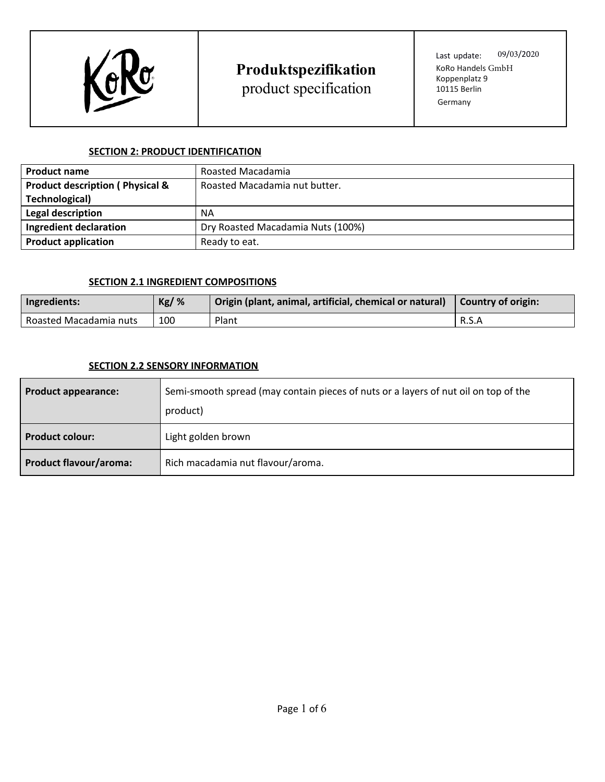

product specification

Last update: 09/03/2020 KoRo Handels GmbH Koppenplatz 9 10115 Berlin Germany

### **SECTION 2: PRODUCT IDENTIFICATION**

| <b>Product name</b>                        | Roasted Macadamia                 |  |
|--------------------------------------------|-----------------------------------|--|
| <b>Product description (Physical &amp;</b> | Roasted Macadamia nut butter.     |  |
| <b>Technological)</b>                      |                                   |  |
| Legal description                          | NA                                |  |
| Ingredient declaration                     | Dry Roasted Macadamia Nuts (100%) |  |
| <b>Product application</b>                 | Ready to eat.                     |  |

### **SECTION 2.1 INGREDIENT COMPOSITIONS**

| Ingredients:           | $Kg/$ % | Origin (plant, animal, artificial, chemical or natural) | <b>Country of origin:</b> |
|------------------------|---------|---------------------------------------------------------|---------------------------|
| Roasted Macadamia nuts | 100     | Plant                                                   | R.S.A                     |

### **SECTION 2.2 SENSORY INFORMATION**

| <b>Product appearance:</b>    | Semi-smooth spread (may contain pieces of nuts or a layers of nut oil on top of the<br>product) |
|-------------------------------|-------------------------------------------------------------------------------------------------|
| <b>Product colour:</b>        | Light golden brown                                                                              |
| <b>Product flavour/aroma:</b> | Rich macadamia nut flavour/aroma.                                                               |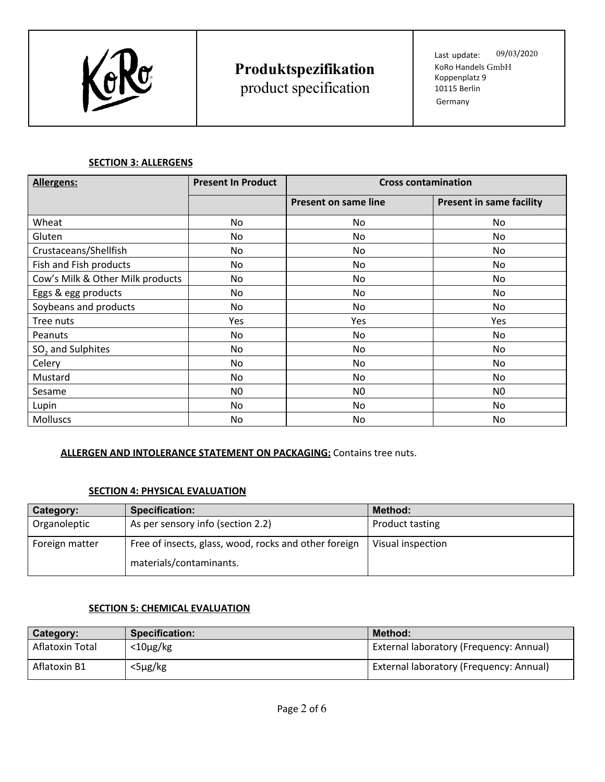

product specification

Last update: 09/03/2020 KoRo Handels GmbH Koppenplatz 9 10115 Berlin Germany

### **SECTION 3: ALLERGENS**

| <b>Allergens:</b>                | <b>Present In Product</b> | <b>Cross contamination</b> |                                 |
|----------------------------------|---------------------------|----------------------------|---------------------------------|
|                                  |                           | Present on same line       | <b>Present in same facility</b> |
| Wheat                            | No                        | No.                        | N <sub>0</sub>                  |
| Gluten                           | No                        | No.                        | N <sub>0</sub>                  |
| Crustaceans/Shellfish            | No                        | No.                        | N <sub>0</sub>                  |
| Fish and Fish products           | No                        | No.                        | No                              |
| Cow's Milk & Other Milk products | No                        | No.                        | No                              |
| Eggs & egg products              | No                        | No                         | No                              |
| Soybeans and products            | No                        | No.                        | No                              |
| Tree nuts                        | Yes                       | Yes                        | Yes                             |
| Peanuts                          | No                        | No                         | No                              |
| SO <sub>2</sub> and Sulphites    | No                        | N <sub>0</sub>             | No                              |
| Celery                           | No                        | No                         | No                              |
| Mustard                          | No                        | No.                        | No.                             |
| Sesame                           | N <sub>0</sub>            | N <sub>0</sub>             | N <sub>0</sub>                  |
| Lupin                            | No                        | No                         | No                              |
| <b>Molluscs</b>                  | No                        | No                         | No                              |

### **ALLERGEN AND INTOLERANCE STATEMENT ON PACKAGING:** Contains tree nuts.

### **SECTION 4: PHYSICAL EVALUATION**

| Category:      | <b>Specification:</b>                                 | Method:                |
|----------------|-------------------------------------------------------|------------------------|
| Organoleptic   | As per sensory info (section 2.2)                     | <b>Product tasting</b> |
| Foreign matter | Free of insects, glass, wood, rocks and other foreign | Visual inspection      |
|                | materials/contaminants.                               |                        |

### **SECTION 5: CHEMICAL EVALUATION**

| Category:       | <b>Specification:</b> | Method:                                 |
|-----------------|-----------------------|-----------------------------------------|
| Aflatoxin Total | $<$ 10 $\mu$ g/kg     | External laboratory (Frequency: Annual) |
| Aflatoxin B1    | <5μg/kg               | External laboratory (Frequency: Annual) |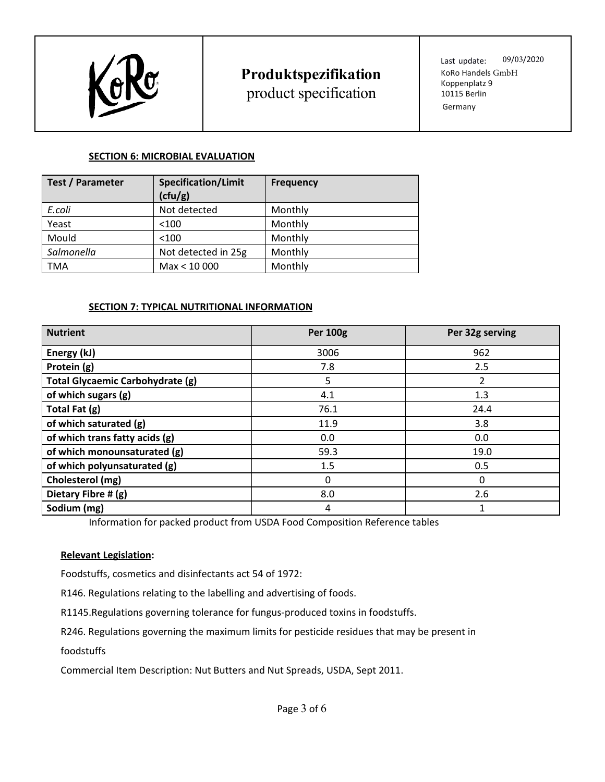

product specification

Last update: 09/03/2020 KoRo Handels GmbH Koppenplatz 9 10115 Berlin Germany

### **SECTION 6: MICROBIAL EVALUATION**

| <b>Test / Parameter</b> | <b>Specification/Limit</b><br>(cfu/g) | <b>Frequency</b> |
|-------------------------|---------------------------------------|------------------|
| E.coli                  | Not detected                          | Monthly          |
| Yeast                   | < 100                                 | Monthly          |
| Mould                   | < 100                                 | Monthly          |
| Salmonella              | Not detected in 25g                   | Monthly          |
| TMA                     | Max < 10 000                          | Monthly          |

### **SECTION 7: TYPICAL NUTRITIONAL INFORMATION**

| <b>Nutrient</b>                  | <b>Per 100g</b> | Per 32g serving |
|----------------------------------|-----------------|-----------------|
| Energy (kJ)                      | 3006            | 962             |
| Protein (g)                      | 7.8             | 2.5             |
| Total Glycaemic Carbohydrate (g) | 5.              | 2               |
| of which sugars (g)              | 4.1             | 1.3             |
| Total Fat (g)                    | 76.1            | 24.4            |
| of which saturated (g)           | 11.9            | 3.8             |
| of which trans fatty acids (g)   | 0.0             | 0.0             |
| of which monounsaturated (g)     | 59.3            | 19.0            |
| of which polyunsaturated (g)     | 1.5             | 0.5             |
| Cholesterol (mg)                 | 0               | 0               |
| Dietary Fibre # (g)              | 8.0             | 2.6             |
| Sodium (mg)                      | 4               |                 |

Information for packed product from USDA Food Composition Reference tables

### **Relevant Legislation:**

Foodstuffs, cosmetics and disinfectants act 54 of 1972:

R146. Regulations relating to the labelling and advertising of foods.

R1145.Regulations governing tolerance for fungus-produced toxins in foodstuffs.

R246. Regulations governing the maximum limits for pesticide residues that may be present in

foodstuffs

Commercial Item Description: Nut Butters and Nut Spreads, USDA, Sept 2011.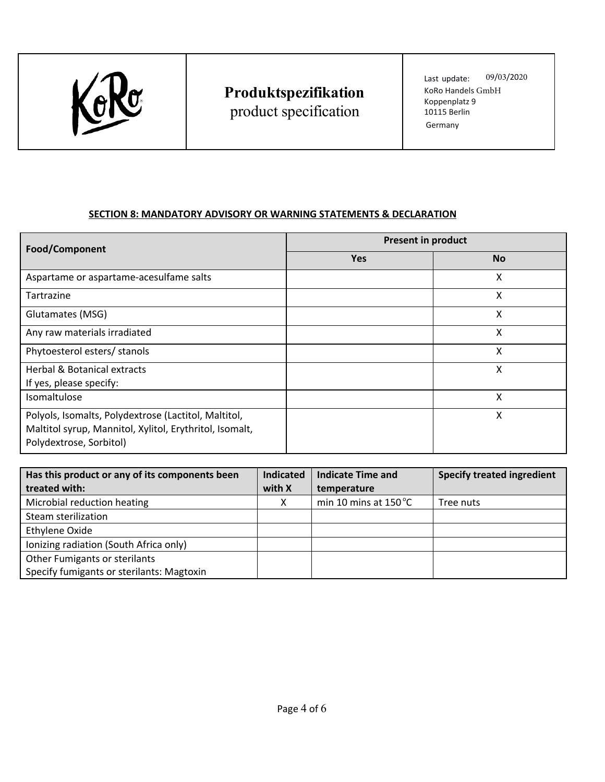

product specification

Last update: 09/03/2020 KoRo Handels GmbH Koppenplatz 9 10115 Berlin Germany

## **SECTION 8: MANDATORY ADVISORY OR WARNING STATEMENTS & DECLARATION**

| Food/Component                                                                                                                             | <b>Present in product</b> |           |  |
|--------------------------------------------------------------------------------------------------------------------------------------------|---------------------------|-----------|--|
|                                                                                                                                            | <b>Yes</b>                | <b>No</b> |  |
| Aspartame or aspartame-acesulfame salts                                                                                                    |                           | x         |  |
| Tartrazine                                                                                                                                 |                           | Χ         |  |
| Glutamates (MSG)                                                                                                                           |                           | x         |  |
| Any raw materials irradiated                                                                                                               |                           | X         |  |
| Phytoesterol esters/ stanols                                                                                                               |                           | x         |  |
| <b>Herbal &amp; Botanical extracts</b><br>If yes, please specify:                                                                          |                           | Χ         |  |
| Isomaltulose                                                                                                                               |                           | Χ         |  |
| Polyols, Isomalts, Polydextrose (Lactitol, Maltitol,<br>Maltitol syrup, Mannitol, Xylitol, Erythritol, Isomalt,<br>Polydextrose, Sorbitol) |                           | x         |  |

| Has this product or any of its components been | <b>Indicated</b> | <b>Indicate Time and</b>       | <b>Specify treated ingredient</b> |
|------------------------------------------------|------------------|--------------------------------|-----------------------------------|
| treated with:                                  | with X           | temperature                    |                                   |
| Microbial reduction heating                    |                  | min 10 mins at $150^{\circ}$ C | Tree nuts                         |
| Steam sterilization                            |                  |                                |                                   |
| Ethylene Oxide                                 |                  |                                |                                   |
| Ionizing radiation (South Africa only)         |                  |                                |                                   |
| Other Fumigants or sterilants                  |                  |                                |                                   |
| Specify fumigants or sterilants: Magtoxin      |                  |                                |                                   |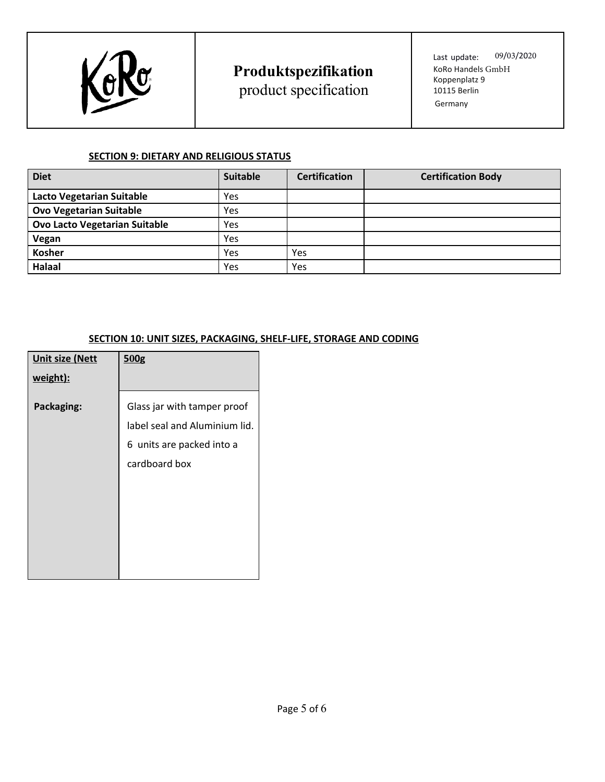

## **Produktspezifikation** product specification

Last update: 09/03/2020 KoRo Handels GmbH Koppenplatz 9 10115 Berlin Germany

### **SECTION 9: DIETARY AND RELIGIOUS STATUS**

| <b>Diet</b>                          | <b>Suitable</b> | <b>Certification</b> | <b>Certification Body</b> |
|--------------------------------------|-----------------|----------------------|---------------------------|
| <b>Lacto Vegetarian Suitable</b>     | Yes             |                      |                           |
| <b>Ovo Vegetarian Suitable</b>       | Yes             |                      |                           |
| <b>Ovo Lacto Vegetarian Suitable</b> | Yes             |                      |                           |
| Vegan                                | Yes             |                      |                           |
| <b>Kosher</b>                        | Yes             | Yes                  |                           |
| Halaal                               | Yes             | Yes                  |                           |

## **SECTION 10: UNIT SIZES, PACKAGING, SHELF-LIFE, STORAGE AND CODING**

| <b>Unit size (Nett</b> | 500 <sub>g</sub>              |
|------------------------|-------------------------------|
| weight):               |                               |
| Packaging:             | Glass jar with tamper proof   |
|                        | label seal and Aluminium lid. |
|                        | 6 units are packed into a     |
|                        | cardboard box                 |
|                        |                               |
|                        |                               |
|                        |                               |
|                        |                               |
|                        |                               |
|                        |                               |